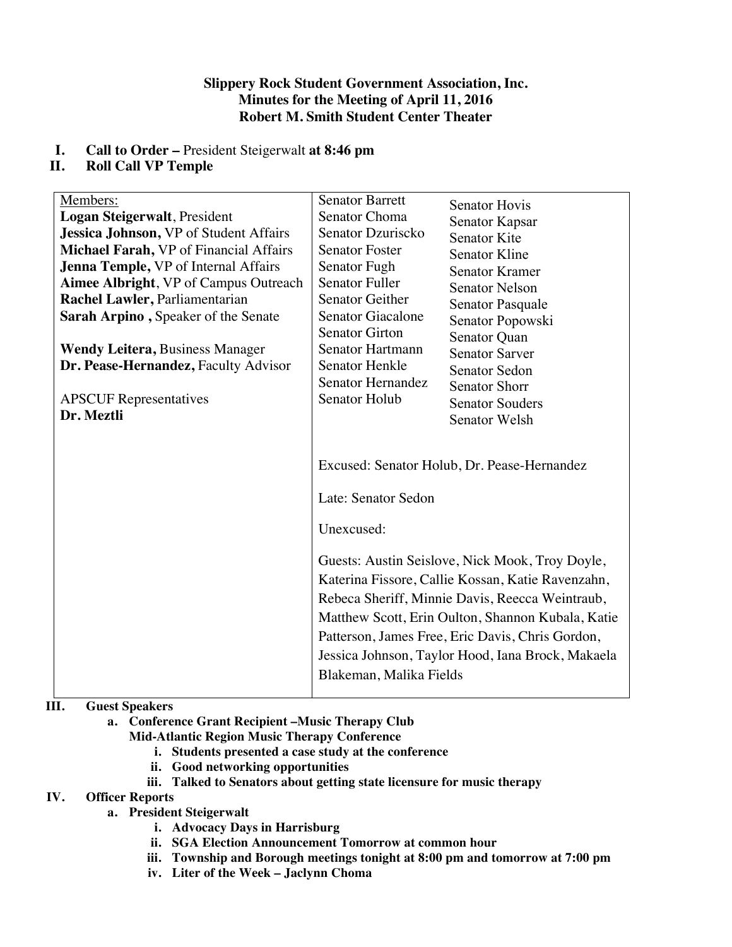### **Slippery Rock Student Government Association, Inc. Minutes for the Meeting of April 11, 2016 Robert M. Smith Student Center Theater**

# **I. Call to Order –** President Steigerwalt **at 8:46 pm**

## **II. Roll Call VP Temple**

| Members:                                    | <b>Senator Barrett</b>                                       | <b>Senator Hovis</b>                                                                                                                                                                                                                                                                                                                                                 |
|---------------------------------------------|--------------------------------------------------------------|----------------------------------------------------------------------------------------------------------------------------------------------------------------------------------------------------------------------------------------------------------------------------------------------------------------------------------------------------------------------|
| Logan Steigerwalt, President                | Senator Choma                                                | Senator Kapsar                                                                                                                                                                                                                                                                                                                                                       |
| Jessica Johnson, VP of Student Affairs      | Senator Dzuriscko                                            | <b>Senator Kite</b>                                                                                                                                                                                                                                                                                                                                                  |
| Michael Farah, VP of Financial Affairs      | <b>Senator Foster</b>                                        | Senator Kline                                                                                                                                                                                                                                                                                                                                                        |
| <b>Jenna Temple, VP</b> of Internal Affairs | Senator Fugh                                                 | <b>Senator Kramer</b>                                                                                                                                                                                                                                                                                                                                                |
| Aimee Albright, VP of Campus Outreach       | <b>Senator Fuller</b>                                        | <b>Senator Nelson</b>                                                                                                                                                                                                                                                                                                                                                |
| Rachel Lawler, Parliamentarian              | <b>Senator Geither</b>                                       | Senator Pasquale                                                                                                                                                                                                                                                                                                                                                     |
| Sarah Arpino, Speaker of the Senate         | <b>Senator Giacalone</b>                                     | Senator Popowski                                                                                                                                                                                                                                                                                                                                                     |
|                                             | <b>Senator Girton</b>                                        | Senator Quan                                                                                                                                                                                                                                                                                                                                                         |
| <b>Wendy Leitera, Business Manager</b>      | <b>Senator Hartmann</b>                                      | <b>Senator Sarver</b>                                                                                                                                                                                                                                                                                                                                                |
| Dr. Pease-Hernandez, Faculty Advisor        | Senator Henkle                                               | Senator Sedon                                                                                                                                                                                                                                                                                                                                                        |
|                                             | Senator Hernandez                                            | <b>Senator Shorr</b>                                                                                                                                                                                                                                                                                                                                                 |
| <b>APSCUF</b> Representatives               | Senator Holub                                                | <b>Senator Souders</b>                                                                                                                                                                                                                                                                                                                                               |
| Dr. Meztli                                  |                                                              | Senator Welsh                                                                                                                                                                                                                                                                                                                                                        |
|                                             | Late: Senator Sedon<br>Unexcused:<br>Blakeman, Malika Fields | Excused: Senator Holub, Dr. Pease-Hernandez<br>Guests: Austin Seislove, Nick Mook, Troy Doyle,<br>Katerina Fissore, Callie Kossan, Katie Ravenzahn,<br>Rebeca Sheriff, Minnie Davis, Reecca Weintraub,<br>Matthew Scott, Erin Oulton, Shannon Kubala, Katie<br>Patterson, James Free, Eric Davis, Chris Gordon,<br>Jessica Johnson, Taylor Hood, Iana Brock, Makaela |

# **III. Guest Speakers**

**a. Conference Grant Recipient –Music Therapy Club** 

**Mid-Atlantic Region Music Therapy Conference**

- **i. Students presented a case study at the conference**
- **ii. Good networking opportunities**
- **iii. Talked to Senators about getting state licensure for music therapy**

## **IV. Officer Reports**

- **a. President Steigerwalt**
	- **i. Advocacy Days in Harrisburg**
	- **ii. SGA Election Announcement Tomorrow at common hour**
	- **iii. Township and Borough meetings tonight at 8:00 pm and tomorrow at 7:00 pm**
	- **iv. Liter of the Week – Jaclynn Choma**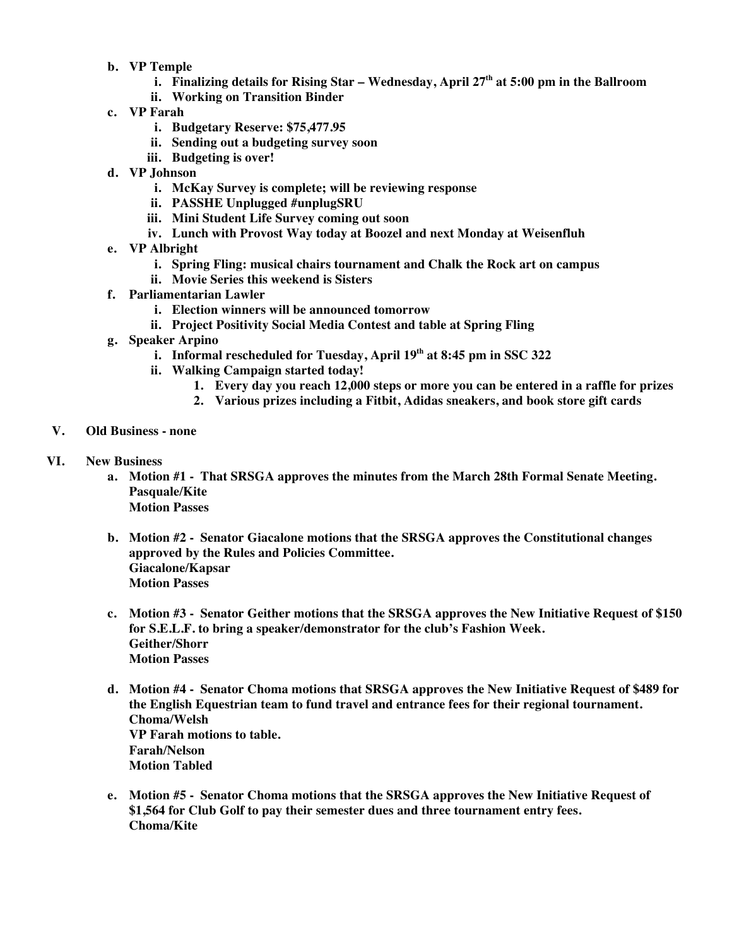- **b. VP Temple**
	- **i. Finalizing details for Rising Star – Wednesday, April 27th at 5:00 pm in the Ballroom**
	- **ii. Working on Transition Binder**
- **c. VP Farah**
	- **i. Budgetary Reserve: \$75,477.95**
	- **ii. Sending out a budgeting survey soon**
	- **iii. Budgeting is over!**
- **d. VP Johnson**
	- **i. McKay Survey is complete; will be reviewing response**
	- **ii. PASSHE Unplugged #unplugSRU**
	- **iii. Mini Student Life Survey coming out soon**
	- **iv. Lunch with Provost Way today at Boozel and next Monday at Weisenfluh**
- **e. VP Albright**
	- **i. Spring Fling: musical chairs tournament and Chalk the Rock art on campus**
	- **ii. Movie Series this weekend is Sisters**
- **f. Parliamentarian Lawler**
	- **i. Election winners will be announced tomorrow**
	- **ii. Project Positivity Social Media Contest and table at Spring Fling**
- **g. Speaker Arpino**
	- **i. Informal rescheduled for Tuesday, April 19th at 8:45 pm in SSC 322**
	- **ii. Walking Campaign started today!**
		- **1. Every day you reach 12,000 steps or more you can be entered in a raffle for prizes**
		- **2. Various prizes including a Fitbit, Adidas sneakers, and book store gift cards**
- **V. Old Business - none**
- **VI. New Business**
	- **a. Motion #1 - That SRSGA approves the minutes from the March 28th Formal Senate Meeting. Pasquale/Kite Motion Passes**
	- **b. Motion #2 - Senator Giacalone motions that the SRSGA approves the Constitutional changes approved by the Rules and Policies Committee. Giacalone/Kapsar Motion Passes**
	- **c. Motion #3 - Senator Geither motions that the SRSGA approves the New Initiative Request of \$150 for S.E.L.F. to bring a speaker/demonstrator for the club's Fashion Week. Geither/Shorr Motion Passes**
	- **d. Motion #4 - Senator Choma motions that SRSGA approves the New Initiative Request of \$489 for the English Equestrian team to fund travel and entrance fees for their regional tournament. Choma/Welsh VP Farah motions to table. Farah/Nelson Motion Tabled**
	- **e. Motion #5 - Senator Choma motions that the SRSGA approves the New Initiative Request of \$1,564 for Club Golf to pay their semester dues and three tournament entry fees. Choma/Kite**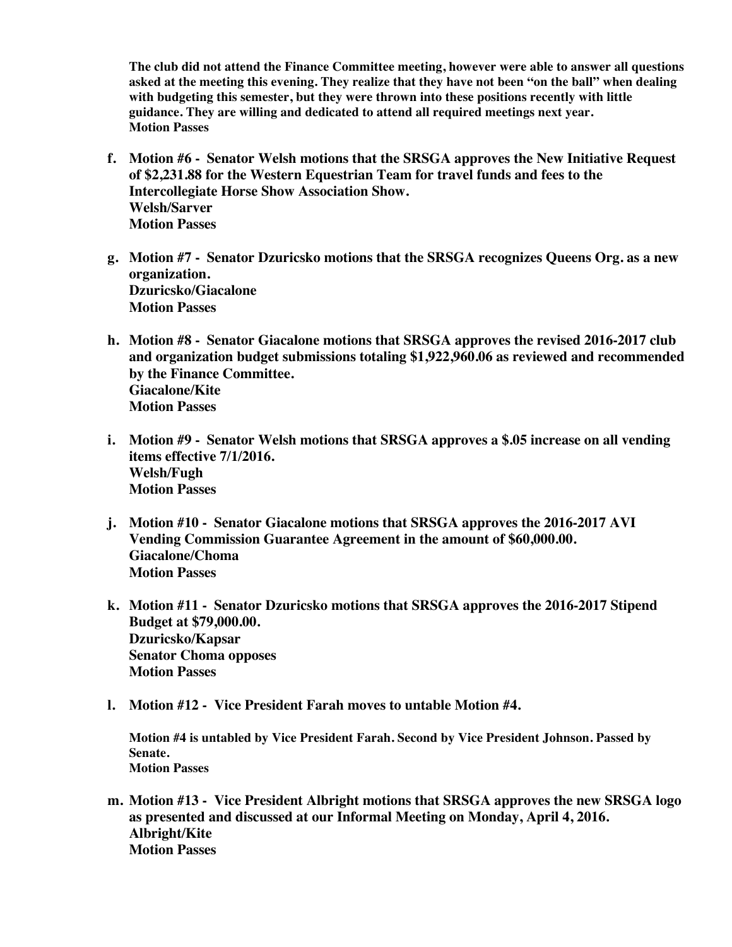**The club did not attend the Finance Committee meeting, however were able to answer all questions asked at the meeting this evening. They realize that they have not been "on the ball" when dealing with budgeting this semester, but they were thrown into these positions recently with little guidance. They are willing and dedicated to attend all required meetings next year. Motion Passes** 

- **f. Motion #6 - Senator Welsh motions that the SRSGA approves the New Initiative Request of \$2,231.88 for the Western Equestrian Team for travel funds and fees to the Intercollegiate Horse Show Association Show. Welsh/Sarver Motion Passes**
- **g. Motion #7 - Senator Dzuricsko motions that the SRSGA recognizes Queens Org. as a new organization. Dzuricsko/Giacalone Motion Passes**
- **h. Motion #8 - Senator Giacalone motions that SRSGA approves the revised 2016-2017 club and organization budget submissions totaling \$1,922,960.06 as reviewed and recommended by the Finance Committee. Giacalone/Kite Motion Passes**
- **i. Motion #9 - Senator Welsh motions that SRSGA approves a \$.05 increase on all vending items effective 7/1/2016. Welsh/Fugh Motion Passes**
- **j. Motion #10 - Senator Giacalone motions that SRSGA approves the 2016-2017 AVI Vending Commission Guarantee Agreement in the amount of \$60,000.00. Giacalone/Choma Motion Passes**
- **k. Motion #11 - Senator Dzuricsko motions that SRSGA approves the 2016-2017 Stipend Budget at \$79,000.00. Dzuricsko/Kapsar Senator Choma opposes Motion Passes**
- **l. Motion #12 - Vice President Farah moves to untable Motion #4.**

**Motion #4 is untabled by Vice President Farah. Second by Vice President Johnson. Passed by Senate. Motion Passes**

**m. Motion #13 - Vice President Albright motions that SRSGA approves the new SRSGA logo as presented and discussed at our Informal Meeting on Monday, April 4, 2016. Albright/Kite Motion Passes**